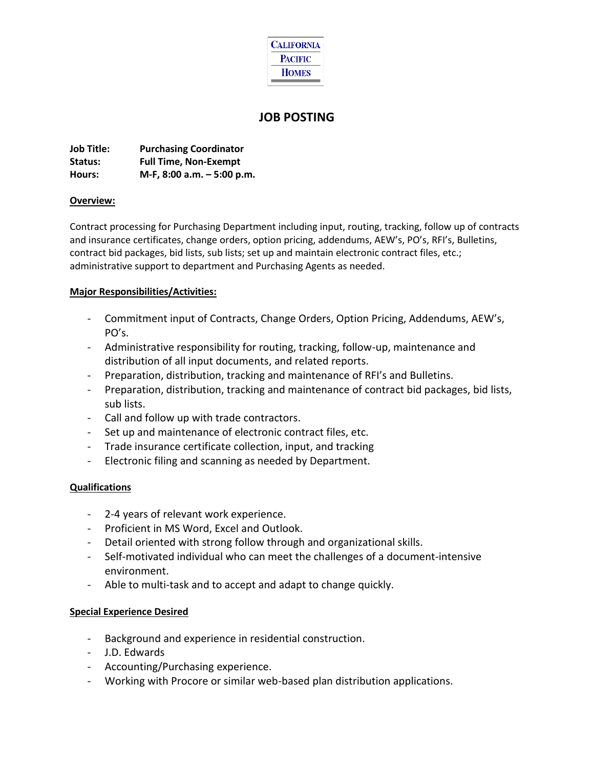

# **JOB POSTING**

**Job Title: Purchasing Coordinator Status: Full Time, Non-Exempt Hours: M-F, 8:00 a.m. – 5:00 p.m.**

#### **Overview:**

Contract processing for Purchasing Department including input, routing, tracking, follow up of contracts and insurance certificates, change orders, option pricing, addendums, AEW's, PO's, RFI's, Bulletins, contract bid packages, bid lists, sub lists; set up and maintain electronic contract files, etc.; administrative support to department and Purchasing Agents as needed.

### **Major Responsibilities/Activities:**

- Commitment input of Contracts, Change Orders, Option Pricing, Addendums, AEW's, PO's.
- Administrative responsibility for routing, tracking, follow-up, maintenance and distribution of all input documents, and related reports.
- Preparation, distribution, tracking and maintenance of RFI's and Bulletins.
- Preparation, distribution, tracking and maintenance of contract bid packages, bid lists, sub lists.
- Call and follow up with trade contractors.
- Set up and maintenance of electronic contract files, etc.
- Trade insurance certificate collection, input, and tracking
- Electronic filing and scanning as needed by Department.

## **Qualifications**

- 2-4 years of relevant work experience.
- Proficient in MS Word, Excel and Outlook.
- Detail oriented with strong follow through and organizational skills.
- Self-motivated individual who can meet the challenges of a document-intensive environment.
- Able to multi-task and to accept and adapt to change quickly.

## **Special Experience Desired**

- Background and experience in residential construction.
- J.D. Edwards
- Accounting/Purchasing experience.
- Working with Procore or similar web-based plan distribution applications.